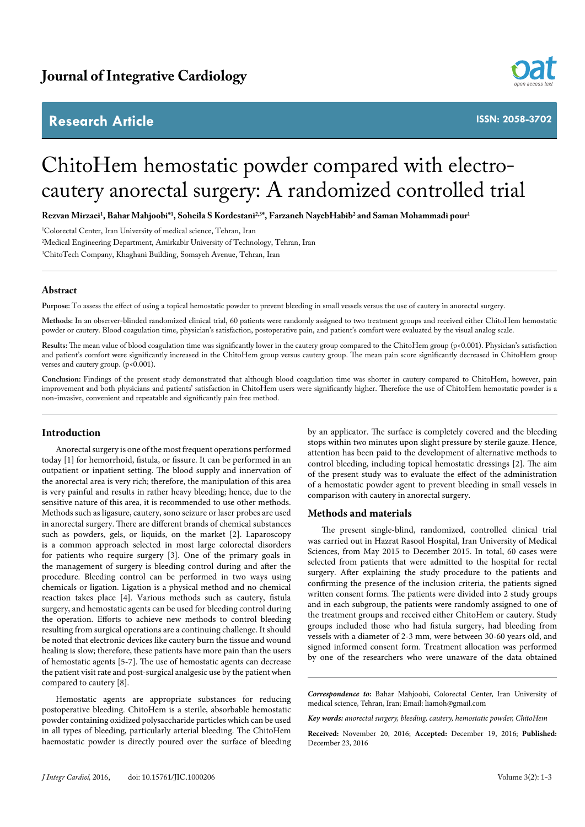# **Research Article**



**ISSN: 2058-3702**

# ChitoHem hemostatic powder compared with electrocautery anorectal surgery: A randomized controlled trial

**Rezvan Mirzaei1 , Bahar Mahjoobi\*1 , Soheila S Kordestani2,3\*, Farzaneh NayebHabib2 and Saman Mohammadi pour1**

1 Colorectal Center, Iran University of medical science, Tehran, Iran 2 Medical Engineering Department, Amirkabir University of Technology, Tehran, Iran 3 ChitoTech Company, Khaghani Building, Somayeh Avenue, Tehran, Iran

## **Abstract**

**Purpose:** To assess the effect of using a topical hemostatic powder to prevent bleeding in small vessels versus the use of cautery in anorectal surgery.

**Methods:** In an observer-blinded randomized clinical trial, 60 patients were randomly assigned to two treatment groups and received either ChitoHem hemostatic powder or cautery. Blood coagulation time, physician's satisfaction, postoperative pain, and patient's comfort were evaluated by the visual analog scale.

Results: The mean value of blood coagulation time was significantly lower in the cautery group compared to the ChitoHem group (p<0.001). Physician's satisfaction and patient's comfort were significantly increased in the ChitoHem group versus cautery group. The mean pain score significantly decreased in ChitoHem group verses and cautery group. (p<0.001).

**Conclusion:** Findings of the present study demonstrated that although blood coagulation time was shorter in cautery compared to ChitoHem, however, pain improvement and both physicians and patients' satisfaction in ChitoHem users were significantly higher. Therefore the use of ChitoHem hemostatic powder is a non-invasive, convenient and repeatable and significantly pain free method.

## **Introduction**

Anorectal surgery is one of the most frequent operations performed today [1] for hemorrhoid, fistula, or fissure. It can be performed in an outpatient or inpatient setting. The blood supply and innervation of the anorectal area is very rich; therefore, the manipulation of this area is very painful and results in rather heavy bleeding; hence, due to the sensitive nature of this area, it is recommended to use other methods. Methods such as ligasure, cautery, sono seizure or laser probes are used in anorectal surgery. There are different brands of chemical substances such as powders, gels, or liquids, on the market [2]. Laparoscopy is a common approach selected in most large colorectal disorders for patients who require surgery [3]. One of the primary goals in the management of surgery is bleeding control during and after the procedure. Bleeding control can be performed in two ways using chemicals or ligation. Ligation is a physical method and no chemical reaction takes place [4]. Various methods such as cautery, fistula surgery, and hemostatic agents can be used for bleeding control during the operation. Efforts to achieve new methods to control bleeding resulting from surgical operations are a continuing challenge. It should be noted that electronic devices like cautery burn the tissue and wound healing is slow; therefore, these patients have more pain than the users of hemostatic agents [5-7]. The use of hemostatic agents can decrease the patient visit rate and post-surgical analgesic use by the patient when compared to cautery [\[8](file:///D:/Works/My%20Works/Navneeth/Journals/JIC/JIC-Vol-2/JIC-Vol-2.6/JIC_2.6-AI/l )].

Hemostatic agents are appropriate substances for reducing postoperative bleeding. ChitoHem is a sterile, absorbable hemostatic powder containing oxidized polysaccharide particles which can be used in all types of bleeding, particularly arterial bleeding. The ChitoHem haemostatic powder is directly poured over the surface of bleeding

by an applicator. The surface is completely covered and the bleeding stops within two minutes upon slight pressure by sterile gauze. Hence, attention has been paid to the development of alternative methods to control bleeding, including topical hemostatic dressings [2]. The aim of the present study was to evaluate the effect of the administration of a hemostatic powder agent to prevent bleeding in small vessels in comparison with cautery in anorectal surgery.

#### **Methods and materials**

The present single-blind, randomized, controlled clinical trial was carried out in Hazrat Rasool Hospital, Iran University of Medical Sciences, from May 2015 to December 2015. In total, 60 cases were selected from patients that were admitted to the hospital for rectal surgery. After explaining the study procedure to the patients and confirming the presence of the inclusion criteria, the patients signed written consent forms. The patients were divided into 2 study groups and in each subgroup, the patients were randomly assigned to one of the treatment groups and received either ChitoHem or cautery. Study groups included those who had fistula surgery, had bleeding from vessels with a diameter of 2-3 mm, were between 30-60 years old, and signed informed consent form. Treatment allocation was performed by one of the researchers who were unaware of the data obtained

*Correspondence to:* Bahar Mahjoobi, Colorectal Center, Iran University of medical science, Tehran, Iran; Email: liamoh@gmail.com

*Key words: anorectal surgery, bleeding, cautery, hemostatic powder, ChitoHem*

**Received:** November 20, 2016; **Accepted:** December 19, 2016; **Published:**  December 23, 2016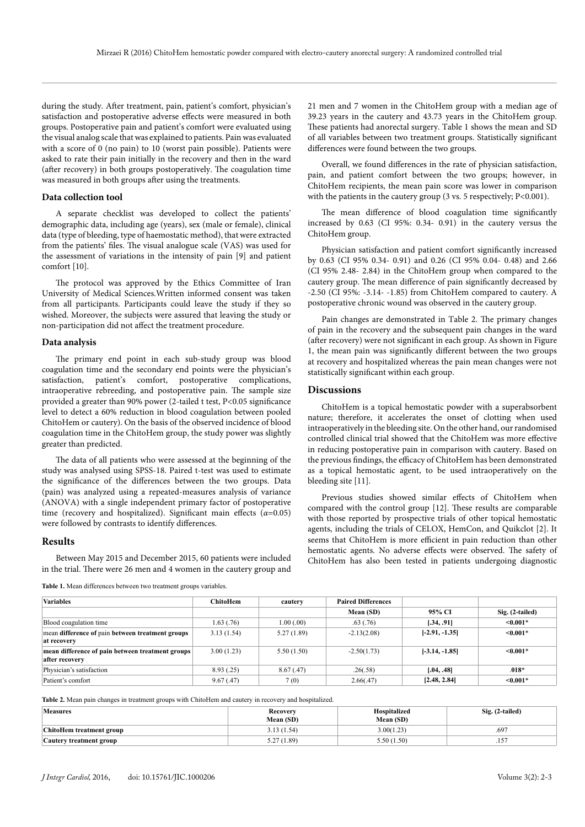during the study. After treatment, pain, patient's comfort, physician's satisfaction and postoperative adverse effects were measured in both groups. Postoperative pain and patient's comfort were evaluated using the visual analog scale that was explained to patients. Pain was evaluated with a score of 0 (no pain) to 10 (worst pain possible). Patients were asked to rate their pain initially in the recovery and then in the ward (after recovery) in both groups postoperatively. The coagulation time was measured in both groups after using the treatments.

#### **Data collection tool**

A separate checklist was developed to collect the patients' demographic data, including age (years), sex (male or female), clinical data (type of bleeding, type of haemostatic method), that were extracted from the patients' files. The visual analogue scale (VAS) was used for the assessment of variations in the intensity of pain [9] and patient comfort [10].

The protocol was approved by the Ethics Committee of Iran University of Medical Sciences.Written informed consent was taken from all participants. Participants could leave the study if they so wished. Moreover, the subjects were assured that leaving the study or non-participation did not affect the treatment procedure.

#### **Data analysis**

The primary end point in each sub-study group was blood coagulation time and the secondary end points were the physician's satisfaction, patient's comfort, postoperative complications, intraoperative rebreeding, and postoperative pain. The sample size provided a greater than 90% power (2-tailed t test, P<0.05 significance level to detect a 60% reduction in blood coagulation between pooled ChitoHem or cautery). On the basis of the observed incidence of blood coagulation time in the ChitoHem group, the study power was slightly greater than predicted.

The data of all patients who were assessed at the beginning of the study was analysed using SPSS-18. Paired t-test was used to estimate the significance of the differences between the two groups. Data (pain) was analyzed using a repeated-measures analysis of variance (ANOVA) with a single independent primary factor of postoperative time (recovery and hospitalized). Significant main effects (*α*=0.05) were followed by contrasts to identify differences.

#### **Results**

Between May 2015 and December 2015, 60 patients were included in the trial. There were 26 men and 4 women in the cautery group and

**Table 1.** Mean differences between two treatment groups variables.

21 men and 7 women in the ChitoHem group with a median age of 39.23 years in the cautery and 43.73 years in the ChitoHem group. These patients had anorectal surgery. Table 1 shows the mean and SD of all variables between two treatment groups. Statistically significant differences were found between the two groups.

Overall, we found differences in the rate of physician satisfaction, pain, and patient comfort between the two groups; however, in ChitoHem recipients, the mean pain score was lower in comparison with the patients in the cautery group (3 vs. 5 respectively; P<0.001).

The mean difference of blood coagulation time significantly increased by 0.63 (CI 95%: 0.34- 0.91) in the cautery versus the ChitoHem group.

Physician satisfaction and patient comfort significantly increased by 0.63 (CI 95% 0.34- 0.91) and 0.26 (CI 95% 0.04- 0.48) and 2.66 (CI 95% 2.48- 2.84) in the ChitoHem group when compared to the cautery group. The mean difference of pain significantly decreased by -2.50 (CI 95%: -3.14- -1.85) from ChitoHem compared to cautery. A postoperative chronic wound was observed in the cautery group.

Pain changes are demonstrated in Table 2. The primary changes of pain in the recovery and the subsequent pain changes in the ward (after recovery) were not significant in each group. As shown in Figure 1, the mean pain was significantly different between the two groups at recovery and hospitalized whereas the pain mean changes were not statistically significant within each group.

#### **Discussions**

ChitoHem is a topical hemostatic powder with a superabsorbent nature; therefore, it accelerates the onset of clotting when used intraoperatively in the bleeding site. On the other hand, our randomised controlled clinical trial showed that the ChitoHem was more effective in reducing postoperative pain in comparison with cautery. Based on the previous findings, the efficacy of ChitoHem has been demonstrated as a topical hemostatic agent, to be used intraoperatively on the bleeding site [11].

Previous studies showed similar effects of ChitoHem when compared with the control group [12]. These results are comparable with those reported by prospective trials of other topical hemostatic agents, including the trials of CELOX, HemCon, and Quikclot [2]. It seems that ChitoHem is more efficient in pain reduction than other hemostatic agents. No adverse effects were observed. The safety of ChitoHem has also been tested in patients undergoing diagnostic

| <b>Variables</b>                                                   | <b>ChitoHem</b> | cautery    | <b>Paired Differences</b> |                  |                 |
|--------------------------------------------------------------------|-----------------|------------|---------------------------|------------------|-----------------|
|                                                                    |                 |            | Mean (SD)                 | 95% CI           | Sig. (2-tailed) |
| Blood coagulation time                                             | 1.63(0.76)      | 1.00(0.00) | .63(0.76)                 | [.34, .91]       | $\leq 0.001*$   |
| mean difference of pain between treatment groups<br>at recovery    | 3.13(1.54)      | 5.27(1.89) | $-2.13(2.08)$             | $[-2.91, -1.35]$ | $\leq 0.001*$   |
| mean difference of pain between treatment groups<br>after recovery | 3.00(1.23)      | 5.50(1.50) | $-2.50(1.73)$             | $[-3.14, -1.85]$ | $\leq 0.001*$   |
| Physician's satisfaction                                           | 8.93(.25)       | 8.67(.47)  | .26(.58)                  | [.04, .48]       | $.018*$         |
| Patient's comfort                                                  | 9.67(.47)       | 7(0)       | 2.66(.47)                 | [2.48, 2.84]     | $\leq 0.001*$   |

**Table 2.** Mean pain changes in treatment groups with ChitoHem and cautery in recovery and hospitalized.

| <b>Measures</b>                | Recovery<br>Mean (SD) | <b>Hospitalized</b><br>Mean (SD) | Sig. (2-tailed) |
|--------------------------------|-----------------------|----------------------------------|-----------------|
| ChitoHem treatment group       | 3.13(1.54)            | 3.00(1.23)                       | .697            |
| <b>Cautery treatment group</b> | 5.27 (1.89)<br>J.L    | 5.50(1.50)                       | $-$<br>.157     |